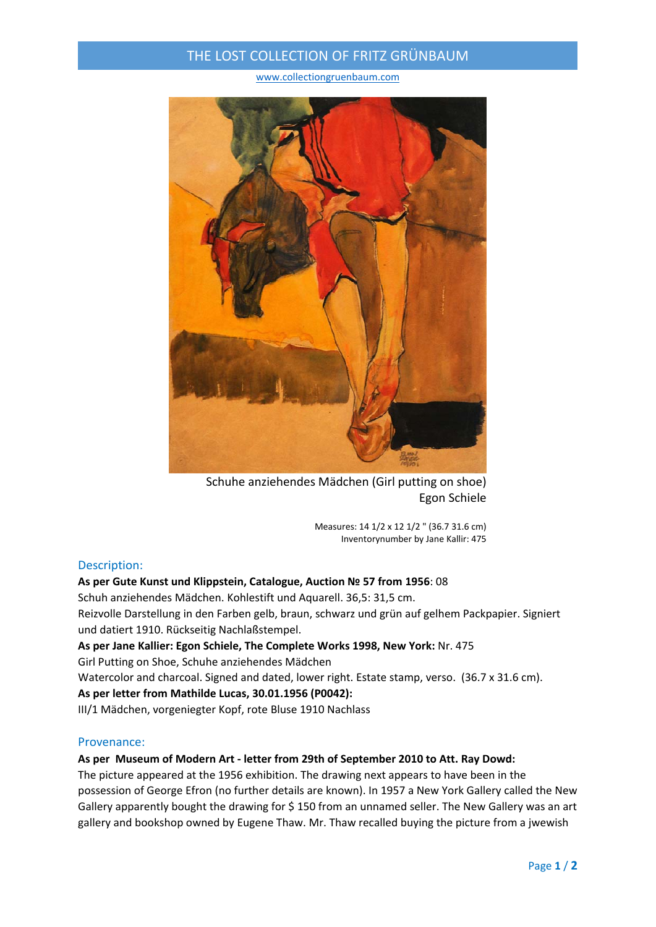## THE LOST COLLECTION OF FRITZ GRÜNBAUM

www.collectiongruenbaum.com



Schuhe anziehendes Mädchen (Girl putting on shoe) Egon Schiele

Measures: 14 1/2 x 12 1/2 " (36.7 31.6 cm) Inventorynumber by Jane Kallir: 475

#### Description:

#### **As per Gute Kunst und Klippstein, Catalogue, Auction № 57 from 1956**: 08

Schuh anziehendes Mädchen. Kohlestift und Aquarell. 36,5: 31,5 cm. Reizvolle Darstellung in den Farben gelb, braun, schwarz und grün auf gelhem Packpapier. Signiert und datiert 1910. Rückseitig Nachlaßstempel.

**As per Jane Kallier: Egon Schiele, The Complete Works 1998, New York:** Nr. 475 Girl Putting on Shoe, Schuhe anziehendes Mädchen Watercolor and charcoal. Signed and dated, lower right. Estate stamp, verso. (36.7 x 31.6 cm). **As per letter from Mathilde Lucas, 30.01.1956 (P0042):**

III/1 Mädchen, vorgeniegter Kopf, rote Bluse 1910 Nachlass

## Provenance:

## **As per Museum of Modern Art ‐ letter from 29th of September 2010 to Att. Ray Dowd:**

The picture appeared at the 1956 exhibition. The drawing next appears to have been in the possession of George Efron (no further details are known). In 1957 a New York Gallery called the New Gallery apparently bought the drawing for \$150 from an unnamed seller. The New Gallery was an art gallery and bookshop owned by Eugene Thaw. Mr. Thaw recalled buying the picture from a jwewish